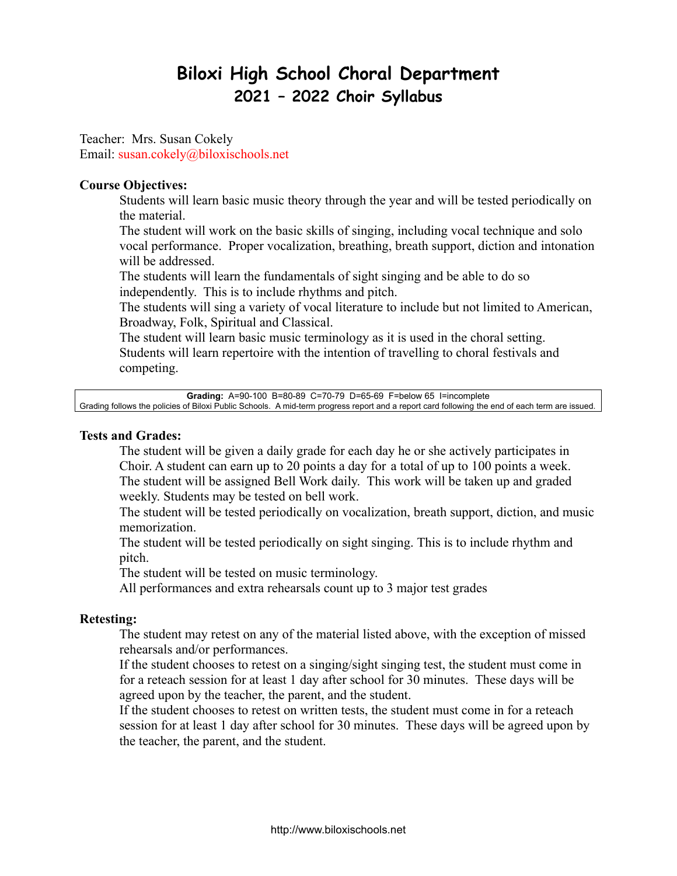# **Biloxi High School Choral Department 2021 – 2022 Choir Syllabus**

Teacher: Mrs. Susan Cokely Email: susan.cokely@biloxischools.net

#### **Course Objectives:**

Students will learn basic music theory through the year and will be tested periodically on the material.

The student will work on the basic skills of singing, including vocal technique and solo vocal performance. Proper vocalization, breathing, breath support, diction and intonation will be addressed.

The students will learn the fundamentals of sight singing and be able to do so independently. This is to include rhythms and pitch.

The students will sing a variety of vocal literature to include but not limited to American, Broadway, Folk, Spiritual and Classical.

The student will learn basic music terminology as it is used in the choral setting. Students will learn repertoire with the intention of travelling to choral festivals and competing.

**Grading:** A=90-100 B=80-89 C=70-79 D=65-69 F=below 65 I=incomplete Grading follows the policies of Biloxi Public Schools. A mid-term progress report and a report card following the end of each term are issued.

#### **Tests and Grades:**

The student will be given a daily grade for each day he or she actively participates in Choir. A student can earn up to 20 points a day for a total of up to 100 points a week. The student will be assigned Bell Work daily. This work will be taken up and graded weekly. Students may be tested on bell work.

The student will be tested periodically on vocalization, breath support, diction, and music memorization.

The student will be tested periodically on sight singing. This is to include rhythm and pitch.

The student will be tested on music terminology.

All performances and extra rehearsals count up to 3 major test grades

#### **Retesting:**

The student may retest on any of the material listed above, with the exception of missed rehearsals and/or performances.

If the student chooses to retest on a singing/sight singing test, the student must come in for a reteach session for at least 1 day after school for 30 minutes. These days will be agreed upon by the teacher, the parent, and the student.

If the student chooses to retest on written tests, the student must come in for a reteach session for at least 1 day after school for 30 minutes. These days will be agreed upon by the teacher, the parent, and the student.